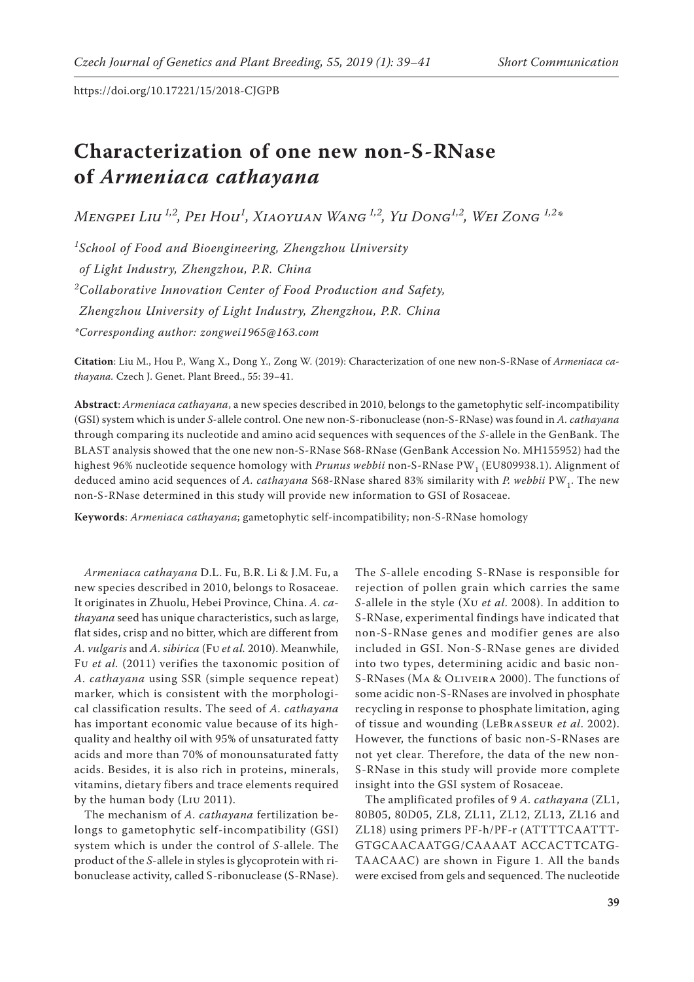https://doi.org/10.17221/15/2018-CJGPB

## **Characterization of one new non-S-RNase of** *Armeniaca cathayana*

*Mengpei Liu 1,2, Pei Hou1 , Xiaoyuan Wang 1,2, Yu Dong1,2, Wei Zong 1,2\**

*1 School of Food and Bioengineering, Zhengzhou University of Light Industry, Zhengzhou, P.R. China 2 Collaborative Innovation Center of Food Production and Safety, Zhengzhou University of Light Industry, Zhengzhou, P.R. China \*Corresponding author: zongwei1965@163.com*

**Citation**: Liu M., Hou P., Wang X., Dong Y., Zong W. (2019): Characterization of one new non-S-RNase of *Armeniaca cathayana.* Czech J. Genet. Plant Breed., 55: 39−41.

**Abstract**: *Armeniaca cathayana*, a new species described in 2010, belongs to the gametophytic self-incompatibility (GSI) system which is under *S-*allele control. One new non-S-ribonuclease (non-S-RNase) was found in *A. cathayana*  through comparing its nucleotide and amino acid sequences with sequences of the *S*-allele in the GenBank. The BLAST analysis showed that the one new non-S-RNase S68-RNase (GenBank Accession No. MH155952) had the highest 96% nucleotide sequence homology with *Prunus webbii* [non-S-RNase](http://blast.ncbi.nlm.nih.gov/Blast.cgi#alnHdr_193875987) PW<sub>1</sub> ([EU809938.1\)](http://www.ncbi.nlm.nih.gov/nucleotide/193875987?report=genbank&log$=nucltop&blast_rank=1&RID=9F4AS323014). Alignment of deduced amino acid sequences of *A. cathayana* S68-RNase shared 83% similarity with *P. [webbii](http://blast.ncbi.nlm.nih.gov/Blast.cgi#alnHdr_193875987)* PW1. The new non-S-RNase determined in this study will provide new information to GSI of Rosaceae.

**Keywords**: *Armeniaca cathayana*; gametophytic self-incompatibility; non-S-RNase homology

*Armeniaca cathayana* D.L. Fu, B.R. Li & J.M. Fu, a new species described in 2010, belongs to Rosaceae. It originates in Zhuolu, Hebei Province, China. *A. cathayana* seed has unique characteristics, such as large, flat sides, crisp and no bitter, which are different from *A. vulgaris* and *A. sibirica* (Fu *et al.* 2010). Meanwhile, Fu *et al.* (2011) verifies the taxonomic position of *A. cathayana* using SSR (simple sequence repeat) marker, which is consistent with the morphological classification results. The seed of *A. cathayana*  has important economic value because of its highquality and healthy oil with 95% of unsaturated fatty acids and more than 70% of monounsaturated fatty acids. Besides, it is also rich in proteins, minerals, vitamins, dietary fibers and trace elements required by the human body (Liu 2011).

The mechanism of *A. cathayana* fertilization belongs to gametophytic self-incompatibility (GSI) system which is under the control of *S*-allele. The product of the *S*-allele in styles is glycoprotein with ribonuclease activity, called S-ribonuclease (S-RNase).

The *S*-allele encoding S-RNase is responsible for rejection of pollen grain which carries the same *S*-allele in the style (Xu *et al*. 2008). In addition to S-RNase, experimental findings have indicated that non-S-RNase genes and modifier genes are also included in GSI. Non-S-RNase genes are divided into two types, determining acidic and basic non-S-RNases (Ma & Oliveira 2000). The functions of some acidic non-S-RNases are involved in phosphate recycling in response to phosphate limitation, aging of tissue and wounding (LeBrasseur *et al*. 2002). However, the functions of basic non-S-RNases are not yet clear. Therefore, the data of the new non-S-RNase in this study will provide more complete insight into the GSI system of Rosaceae.

The amplificated profiles of 9 *A. cathayana* (ZL1, 80B05, 80D05, ZL8, ZL11, ZL12, ZL13, ZL16 and ZL18) using primers PF-h/PF-r (ATTTTCAATTT-GTGCAACAATGG/CAAAAT ACCACTTCATG-TAACAAC) are shown in Figure 1. All the bands were excised from gels and sequenced. The nucleotide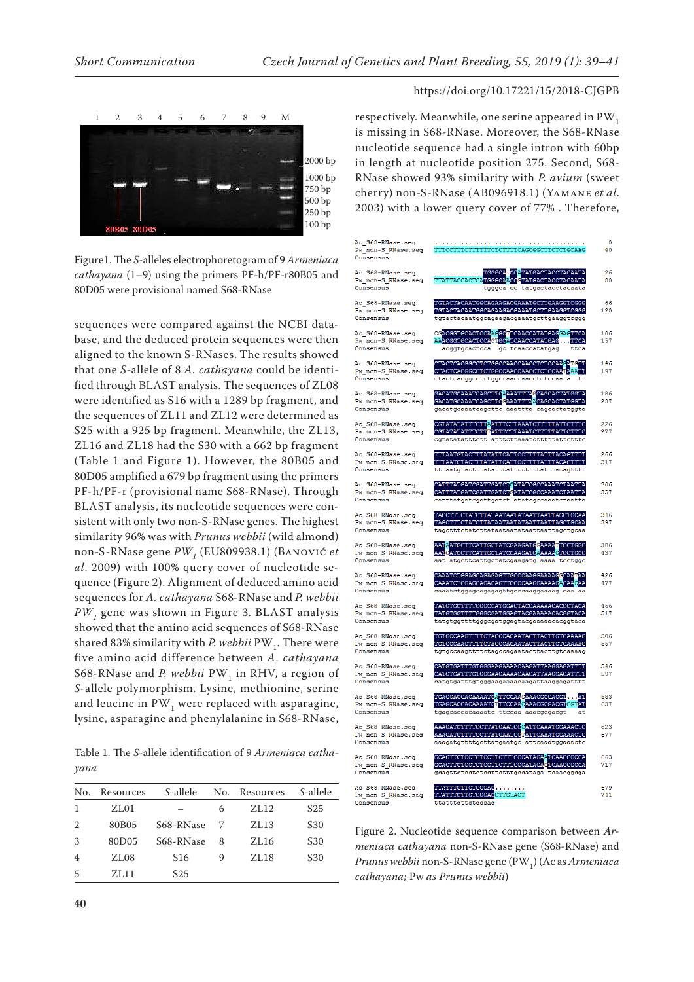

Figure1. The *S-*alleles electrophoretogram of 9 *Armeniaca cathayana* (1–9) using the primers PF-h/PF-r80B05 and 80D05 were provisional named S68-RNase

sequences were compared against the NCBI database, and the deduced protein sequences were then aligned to the known S-RNases. The results showed that one *S*-allele of 8 *A. cathayana* could be identified through BLAST analysis. The sequences of ZL08 were identified as S16 with a 1289 bp fragment, and the sequences of ZL11 and ZL12 were determined as S25 with a 925 bp fragment. Meanwhile, the ZL13, ZL16 and ZL18 had the S30 with a 662 bp fragment (Table 1 and Figure 1). However, the 80B05 and 80D05 amplified a 679 bp fragment using the primers PF-h/PF-r (provisional name S68-RNase). Through BLAST analysis, its nucleotide sequences were consistent with only two non-S-RNase genes. The highest similarity 96% was with *Prunus webbii* (wild almond) [non-S-RNase gene](http://blast.ncbi.nlm.nih.gov/Blast.cgi#alnHdr_193875987)  $PW<sub>1</sub>$  ([EU809938.1\)](http://www.ncbi.nlm.nih.gov/nucleotide/193875987?report=genbank&log$=nucltop&blast_rank=1&RID=9F4AS323014) (BANOVIĆ et *al*. 2009) with 100% query cover of nucleotide sequence (Figure 2). Alignment of deduced amino acid sequences for *A. cathayana* S68-RNase and *P[. webbii](http://blast.ncbi.nlm.nih.gov/Blast.cgi#alnHdr_193875987)  PW1* [gene](http://blast.ncbi.nlm.nih.gov/Blast.cgi#alnHdr_193875987) was shown in Figure 3. BLAST analysis showed that the amino acid sequences of S68-RNase shared 83% similarity with *P. [webbii](http://blast.ncbi.nlm.nih.gov/Blast.cgi#alnHdr_193875987)*  $PW_1$ . There were five amino acid difference between *A. cathayana* S68-RNase and *P. webbii* PW<sub>1</sub> in RHV, a region of *S-*allele polymorphism. Lysine, methionine, serine and leucine in  $PW_1$  were replaced with asparagine, lysine, asparagine and phenylalanine in S68-RNase,

Table 1. The *S*-allele identification of 9 *Armeniaca cathayana* 

| No.            | Resources | <i>S</i> -allele | No. | Resources | <i>S</i> -allele |
|----------------|-----------|------------------|-----|-----------|------------------|
| 1              | ZL01      |                  | 6   | ZL12      | S <sub>25</sub>  |
| 2              | 80B05     | S68-RNase        | 7   | ZL13      | S <sub>30</sub>  |
| 3              | 80D05     | S68-RNase        | 8   | ZL16      | S <sub>30</sub>  |
| $\overline{4}$ | ZL08      | S <sub>16</sub>  | 9   | ZL18      | S <sub>30</sub>  |
| 5              | ZL11      | S25              |     |           |                  |

## https://doi.org/10.17221/15/2018-CJGPB

respectively. Meanwhile, one serine appeared in  $PW_1$ is missing in S68-RNase. Moreover, the S68-RNase nucleotide sequence had a single intron with 60bp in length at nucleotide position 275. Second, S68- RNase showed 93% similarity with *P. avium* (sweet cherry) non-S-RNase ([AB096918.1](https://www.ncbi.nlm.nih.gov/nucleotide/AB096918?report=genbank&log$=nuclalign&blast_rank=6&RID=6BZPG7D7014)) (Yamane *et al*. 2003) with a lower query cover of 77% . Therefore,



Figure 2. Nucleotide sequence comparison between *Armeniaca cathayana* non-S-RNase gene (S68-RNase) and *Prunus webbii* [non-S-RNase gene](http://blast.ncbi.nlm.nih.gov/Blast.cgi#alnHdr_193875987) (PW<sub>1</sub>) (Ac as *Armeniaca cathayana;* Pw *as Prunus webbii*)